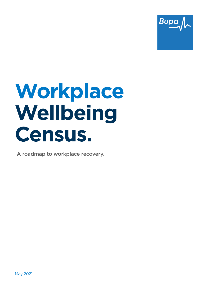

# **Workplace Wellbeing Census.**

A roadmap to workplace recovery.

May 2021.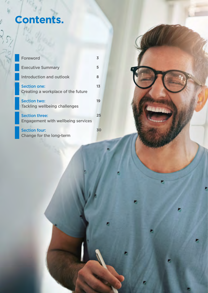# **Contents.**

| Foreword                                                           | 3  |
|--------------------------------------------------------------------|----|
| <b>Executive Summary</b>                                           | 5  |
| Introduction and outlook                                           | 8  |
| <b>Section one:</b><br>Creating a workplace of the future          | 13 |
| <b>Section two:</b><br><b>Tackling wellbeing challenges</b>        | 19 |
| <b>Section three:</b><br><b>Engagement with wellbeing services</b> | 25 |
| <b>Section four:</b><br>Change for the long-term                   | 30 |
|                                                                    |    |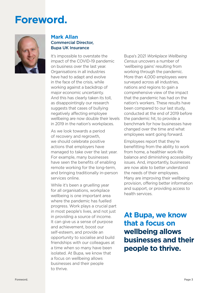### **Foreword.**



#### **Mark Allan**  Commercial Director, Bupa UK Insurance

It's impossible to overstate the impact of the COVID-19 pandemic on business over the last year. Organisations in all industries have had to adapt and evolve in the face of the crisis, while working against a backdrop of major economic uncertainty. And this has clearly taken its toll, as disappointingly our research suggests that cases of bullying negatively affecting employee wellbeing are now double their levels in 2019 in the nation's workplaces.

As we look towards a period of recovery and regrowth, we should celebrate positive actions that employers have managed to take over the last year. For example, many businesses have seen the benefits of enabling remote working for the long-term, and bringing traditionally in-person services online.

While it's been a gruelling year for all organisations, workplace wellbeing is one important area where the pandemic has fuelled progress. Work plays a crucial part in most people's lives, and not just in providing a source of income. It can give us a sense of purpose and achievement, boost our self-esteem, and provide an opportunity to socialise and build friendships with our colleagues at a time when so many have been isolated. At Bupa, we know that a focus on wellbeing allows businesses and their people to thrive.

Bupa's 2021 *Workplace Wellbeing Census* uncovers a number of 'wellbeing gains' resulting from working through the pandemic. More than 4,000 employees were surveyed across all industries, nations and regions to gain a comprehensive view of the impact that the pandemic has had on the nation's workers. These results have been compared to our last study, conducted at the end of 2019 before the pandemic hit, to provide a benchmark for how businesses have changed over the time and what employees want going forward.

Employees report that they're benefitting from the ability to work from home, a healthier work-life balance and diminishing accessibility issues. And, importantly, businesses are now able to better understand the needs of their employees. Many are improving their wellbeing provision, offering better information and support, or providing access to health services.

**At Bupa, we know that a focus on wellbeing allows businesses and their people to thrive.**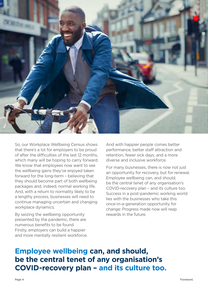

So, our Workplace Wellbeing Census shows that there's a lot for employers to be proud of after the difficulties of the last 12 months. which many will be hoping to carry forward. We know that employees now want to see the wellbeing gains they've enjoyed taken forward for the long-term – believing that they should become part of both wellbeing packages and, indeed, normal working life. And, with a return to normality likely to be a lengthy process, businesses will need to continue managing uncertain and changing workplace dynamics.

By seizing the wellbeing opportunity presented by the pandemic, there are numerous benefits to be found. Firstly, employers can build a happier and more mentally resilient workforce. And with happier people comes better performance, better staff attraction and retention, fewer sick days, and a more diverse and inclusive workforce.

For many businesses, there is now not just an opportunity for recovery, but for renewal. Employee wellbeing can, and should, be the central tenet of any organisation's COVID-recovery plan – and its culture too. Success in a post-pandemic working world lies with the businesses who take this once-in-a-generation opportunity for change: Progress made now will reap rewards in the future.

### **Employee wellbeing can, and should, be the central tenet of any organisation's COVID-recovery plan – and its culture too.**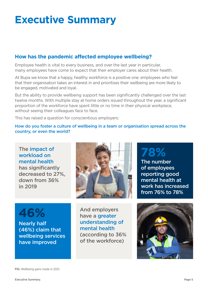## **Executive Summary**

### **How has the pandemic affected employee wellbeing?**

Employee health is vital to every business, and over the last year in particular, many employees have come to expect that their employer cares about their health.

At Bupa we know that a happy, healthy workforce is a positive one: employees who feel that their organisation takes an interest in and prioritises their wellbeing are more likely to be engaged, motivated and loyal.

But the ability to provide wellbeing support has been significantly challenged over the last twelve months. With multiple stay at home orders issued throughout the year, a signifcant proportion of the workforce have spent little or no time in their physical workplace, without seeing their colleagues face to face.

This has raised a question for conscientious employers:

How do you foster a culture of wellbeing in a team or organisation spread across the country, or even the world?

The impact of workload on mental health has significantly decreased to 27%, down from 36% in 2019

**46%**

Nearly half (46%) claim that wellbeing services have improved



And employers have a greater understanding of mental health (according to 36% of the workforce)

# **78%**

The number of employees reporting good mental health at work has increased from 76% to 78%



FIG: Wellbeing gains made in 2021.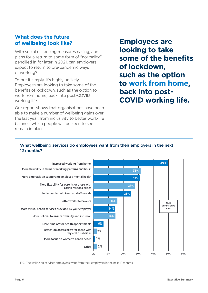### **What does the future of wellbeing look like?**

With social distancing measures easing, and plans for a return to some form of "normality" pencilled in for later in 2021, can employers expect to return to pre-pandemic ways of working?

To put it simply, it's highly unlikely. Employees are looking to take some of the benefits of lockdown, such as the option to work from home, back into post-COVID working life.

Our report shows that organisations have been able to make a number of wellbeing gains over the last year, from inclusivity to better work-life balance, which people will be keen to see remain in place.

**Employees are looking to take**  some of the benefits **of lockdown, such as the option to work from home, back into post-COVID working life.** 

#### What wellbeing services do employees want from their employers in the next 12 months?

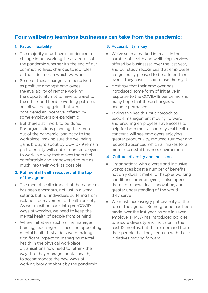### **Four wellbeing learnings businesses can take from the pandemic:**

#### 1. Favour flexibility

- $\blacksquare$  The majority of us have experienced a change in our working life as a result of the pandemic whether it's the end of our commuting lives, changes to job roles, or the industries in which we work
- Some of these changes are perceived as positive: amongst employees, the availability of remote working, the opportunity not to have to travel to the office, and flexible working patterns are all wellbeing gains that were considered an incentive, offered by some employers pre-pandemic
- But there's still work to be done. For organisations planning their route out of the pandemic, and back to the workplace, making sure the wellbeing gains brought about by COVID-19 remain part of reality will enable more employees to work in a way that makes them feel comfortable and empowered to put as much into their work as possible

#### 2. Put mental health recovery at the top of the agenda

- $\blacksquare$  The mental health impact of the pandemic has been enormous, not just in a work setting, but for individuals suffering from isolation, bereavement or health anxiety. As we transition back into pre-COVID ways of working, we need to keep the mental health of people front of mind
- Where initiatives such as line manager training, teaching resilience and appointing mental health first aiders were making a significant impact on managing mental health in the physical workplace, organisations now need to rethink the way that they manage mental health, to accommodate the new ways of working brought about by the pandemic

#### 3. Accessibility is key

- $\blacksquare$  We've seen a marked increase in the number of health and wellbeing services offered by businesses over the last year, and our study recognises that employees are generally pleased to be offered them. even if they haven't had to use them yet
- **Most say that their employer has** introduced some form of initiative in response to the COVID-19 pandemic and many hope that these changes will become permanent
- Taking this health-first approach to people management moving forward, and ensuring employees have access to help for both mental and physical health concerns will see employers enjoying greater productivity, reduced turnover and reduced absences, which all makes for a more successful business environment

#### 4. Culture, diversity and inclusion

- **Organisations with diverse and inclusive** workplaces boast a number of benefits; not only does it make for happier working conditions for employees, it also opens them up to new ideas, innovation, and greater understanding of the world they serve
- We must increasingly put diversity at the top of the agenda. Some ground has been made over the last year, as one in seven employers (14%) has introduced policies to ensure diversity and inclusion in the past 12 months, but there's demand from their people that they keep up with these initiatives moving forward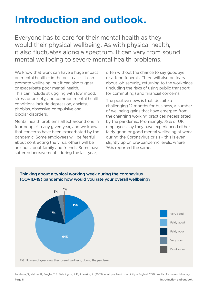## **Introduction and outlook.**

Everyone has to care for their mental health as they would their physical wellbeing. As with physical health, it also fuctuates along a spectrum. It can vary from sound mental wellbeing to severe mental health problems.

We know that work can have a huge impact on mental health – in the best cases it can promote wellbeing, but it can also trigger or exacerbate poor mental health. This can include struggling with low mood, stress or anxiety, and common mental health conditions include depression, anxiety, phobias, obsessive-compulsive and bipolar disorders.

Mental health problems affect around one in four people<sup>1</sup> in any given year, and we know that concerns have been exacerbated by the pandemic. Some employees will be fearful about contracting the virus, others will be anxious about family and friends. Some have suffered bereavements during the last year,

often without the chance to say goodbye or attend funerals. There will also be fears about job security, returning to the workplace (including the risks of using public transport for commuting) and financial concerns.

The positive news is that, despite a challenging 12 months for business, a number of wellbeing gains that have emerged from the changing working practices necessitated by the pandemic. Promisingly, 78% of UK employees say they have experienced either fairly good or good mental wellbeing at work during the Coronavirus crisis – this is even slightly up on pre-pandemic levels, where 76% reported the same.



1 McManus, S., Meltzer, H., Brugha, T. S., Bebbington, P. E., & Jenkins, R. (2009). Adult psychiatric morbidity in England, 2007: results of a household survey.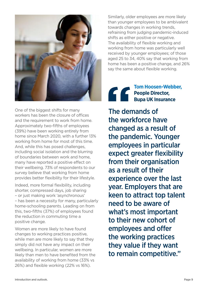

One of the biggest shifts for many workers has been the closure of offices and the requirement to work from home. Approximately two-fifths of employees (39%) have been working entirely from home since March 2020, with a further 13% working from home for most of this time. And, while this has posed challenges, including social isolation and the blurring of boundaries between work and home, many have reported a positive effect on their wellbeing. 73% of respondents to our survey believe that working from home provides better flexibility for their lifestyle.

Indeed, more formal fexibility, including shorter, compressed days, job sharing – or just making work 'asynchronous' – has been a necessity for many, particularly home-schooling parents. Leading on from this, two-ffths (37%) of employees found the reduction in commuting time a positive change.

Women are more likely to have found changes to working practices positive, while men are more likely to say that they simply did not have any impact on their wellbeing. In particular, women are more likely than men to have benefited from the availability of working from home (33% vs 26%) and fexible working (22% vs 16%).

Similarly, older employees are more likely than younger employees to be ambivalent towards changes in working trends, refraining from judging pandemic-induced shifts as either positive or negative. The availability of flexible working and working from home was particularly well received by younger employees; of those aged 25 to 34, 40% say that working from home has been a positive change, and 26% say the same about flexible working.

**Tom Hoosen-Webber, People Director, Bupa UK Insurance** 

The demands of the workforce have changed as a result of the pandemic. Younger employees in particular expect greater flexibility from their organisation as a result of their experience over the last year. Employers that are keen to attract top talent need to be aware of what's most important to their new cohort of employees and offer the working practices they value if they want to remain competitive."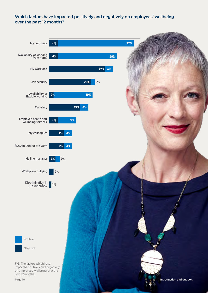#### Which factors have impacted positively and negatively on employees' wellbeing over the past 12 months?

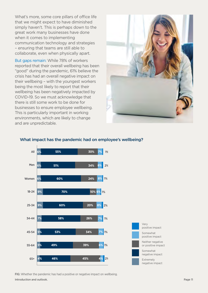What's more, some core pillars of office life that we might expect to have diminished simply haven't. This is perhaps down to the great work many businesses have done when it comes to implementing communication technology and strategies – ensuring that teams are still able to collaborate, even when physically apart.

But gaps remain: While 78% of workers reported that their overall wellbeing has been "good" during the pandemic, 61% believe the crisis has had an overall negative impact on their wellbeing – with the youngest workers being the most likely to report that their wellbeing has been negatively impacted by COVID-19. So we must acknowledge that there is still some work to be done for businesses to ensure employee wellbeing. This is particularly important in working environments, which are likely to change and are unpredictable.





#### What impact has the pandemic had on employee's wellbeing?



FIG: Whether the pandemic has had a positive or negative impact on wellbeing. Introduction and outlook. Page 11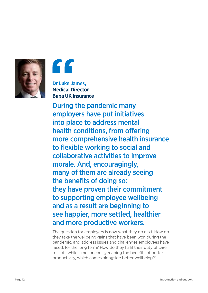



**Dr Luke James, Medical Director, Bupa UK Insurance** 

During the pandemic many employers have put initiatives into place to address mental health conditions, from offering more comprehensive health insurance to flexible working to social and collaborative activities to improve morale. And, encouragingly, many of them are already seeing the benefits of doing so: they have proven their commitment to supporting employee wellbeing and as a result are beginning to see happier, more settled, healthier and more productive workers.

The question for employers is now what they do next. How do they take the wellbeing gains that have been won during the pandemic, and address issues and challenges employees have faced, for the long term? How do they fulfil their duty of care to staff, while simultaneously reaping the benefits of better productivity, which comes alongside better wellbeing?"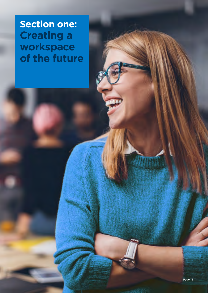### **Section one: Creating a workspace of the future**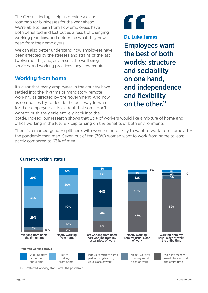The Census findings help us provide a clear roadmap for businesses for the year ahead. We're able to learn from how employees have both benefted and lost out as a result of changing working practices, and determine what they now need from their employers.

We can also better understand how employees have been affected by the stresses and strains of the last twelve months, and, as a result, the wellbeing services and working practices they now require.

### **Working from home**

It's clear that many employees in the country have settled into the rhythms of mandatory remote working, as directed by the government. And now, as companies try to decide the best way forward for their employees, it is evident that some don't want to push the genie entirely back into the



**Dr. Luke James**  Employees want the best of both worlds: structure and sociability on one hand, and independence and flexibility on the other."

bottle. Indeed, our research shows that 23% of workers would like a mixture of home and office working in the future - capitalising on the benefits of both environments.

There is a marked gender split here, with women more likely to want to work from home after the pandemic than men. Seven out of ten (70%) women want to work from home at least partly compared to 63% of men.

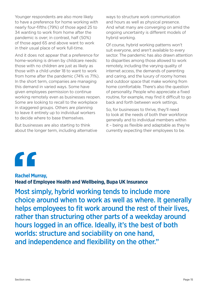Younger respondents are also more likely to have a preference for home working with nearly four-ffths (79%) of those aged 25 to 34 wanting to work from home after the pandemic is over; in contrast, half (50%) of those aged 65 and above want to work in their usual place of work full-time.

And it does not appear that a preference for home-working is driven by childcare needs: those with no children are just as likely as those with a child under 18 to want to work from home after the pandemic (74% vs 71%). In the short term, companies are managing this demand in varied ways. Some have given employees permission to continue working remotely even as businesses reopen. Some are looking to recall to the workplace in staggered groups. Others are planning to leave it entirely up to individual workers to decide where to base themselves.

But businesses are also starting to think about the longer term, including alternative ways to structure work communication and hours as well as physical presence. And what many are converging on amid the ongoing uncertainty is different models of hybrid working.

Of course, hybrid working patterns won't suit everyone, and aren't available to every sector. The pandemic has also drawn attention to disparities among those allowed to work remotely, including the varying quality of internet access, the demands of parenting and caring, and the luxury of roomy homes and outdoor space that make working from home comfortable. There's also the question of personality. People who appreciate a fixed routine, for example, may find it difficult to go back and forth between work settings.

So, for businesses to thrive, they'll need to look at the needs of both their workforce generally and to individual members within it – being as fexible and adaptable as they're currently expecting their employees to be.



### **Rachel Murray, Head of Employee Health and Wellbeing, Bupa UK Insurance**

Most simply, hybrid working tends to include more choice around when to work as well as where. It generally helps employees to fit work around the rest of their lives, rather than structuring other parts of a weekday around hours logged in an office. Ideally, it's the best of both worlds: structure and sociability on one hand, and independence and flexibility on the other."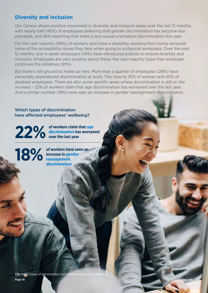### **Diversity and inclusion**

Our Census shows positive movement in diversity and inclusion areas over the last 12 months, with nearly half (46%) of employees believing that gender discrimination has become less prevalent, and 56% reporting that there is less sexual orientation discrimination this year.

For the vast majority (68%) of workers who have a disability, working from home removed some of the accessibility issues they face when going to a physical workplace. Over the past 12 months, one in seven employers (14%) have introduced policies to ensure diversity and inclusion. Employees are very positive about these; the vast majority hope their employer continues the initiatives (81%).

But there's still ground to make up here. More than a quarter of employees (28%) have personally experienced discrimination at work. This rises to 35% of women and 40% of disabled employees. There are also some specific areas where discrimination is still on the increase – 22% of workers claim that age discrimination has worsened over the last year. And a similar number (18%) have seen an increase in gender reassignment discrimination.

Which types of discrimination have affected employees' wellbeing?

**bigary** of workers claim that age discrimination has worsened over the last year

**of workers have seen an increase in gender increase in gender discrimination** 

FIG: Which types of discrimination have affected employees' wellbeing Page 16 Section one. The contract of the contract of the contract of the contract of the contract of the contract of the contract of the contract of the contract of the contract of the contract of the contract of the contr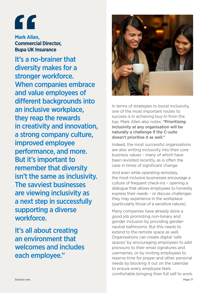

**Mark Allan, Commercial Director, Bupa UK Insurance** 

It's a no-brainer that diversity makes for a stronger workforce. When companies embrace and value employees of diferent backgrounds into an inclusive workplace, they reap the rewards in creativity and innovation, a strong company culture, improved employee performance, and more. But it's important to remember that diversity isn't the same as inclusivity. The savviest businesses are viewing inclusivity as a next step in successfully supporting a diverse workforce.

It's all about creating an environment that welcomes and includes each employee."



In terms of strategies to boost inclusivity, one of the most important routes to success is in achieving buy-in from the top. Mark Allen also notes: "Prioritising inclusivity at any organisation will be naturally a challenge if the C-suite doesn't prioritise it as well."

Indeed, the most successful organisations are also writing inclusivity into their core business values – many of which have been revisited recently, as is often the case in times of significant change.

And even while operating remotely, the most inclusive businesses encourage a culture of frequent check-ins – opening a dialogue that allows employees to honestly express their needs – or discuss challenges they may experience in the workplace (particularly those of a sensitive nature).

Many companies have already done a good job promoting non-binary and gender inclusion by providing genderneutral bathrooms. But this needs to extend to the remote space as well. Organisations can create digital 'safe spaces' by encouraging employees to add pronouns to their email signatures and usernames, or by inviting employees to reserve time for prayer and other personal needs by blocking it out on the calendar to ensure every employee feels comfortable bringing their full self to work.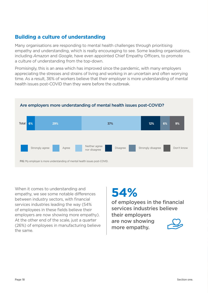### **Building a culture of understanding**

Many organisations are responding to mental health challenges through prioritising empathy and understanding, which is really encouraging to see. Some leading organisations, including *Amazon* and *Google*, have even appointed Chief Empathy Officers, to promote a culture of understanding from the top-down.

Promisingly, this is an area which has improved since the pandemic, with many employers appreciating the stresses and strains of living and working in an uncertain and often worrying time. As a result, 36% of workers believe that their employer is more understanding of mental health issues post-COVID than they were before the outbreak.



#### Are employers more understanding of mental health issues post-COVID?

When it comes to understanding and empathy, we see some notable differences between industry sectors, with financial services industries leading the way (54% of employees in these fields believe their employers are now showing more empathy). At the other end of the scale, just a quarter (26%) of employees in manufacturing believe the same.

### **54%**

of employees in the fnancial services industries believe their employers are now showing more empathy.

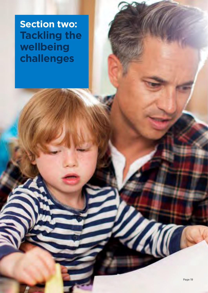**Tackling the Section two: wellbeing challenges**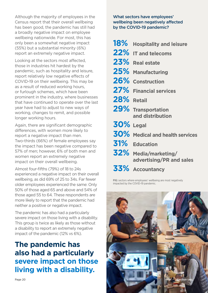Although the majority of employees in the Census report that their overall wellbeing has been good, the pandemic has still had a broadly negative impact on employee wellbeing nationwide. For most, this has only been a somewhat negative impact (55%) but a substantial minority (6%) report an extremely negative impact.

Looking at the sectors most affected, those in industries hit hardest by the pandemic, such as hospitality and leisure, report relatively low negative effects of COVID-19 on their wellbeing. This may be as a result of reduced working hours, or furlough schemes, which have been prominent in the industry, where businesses that have continued to operate over the last year have had to adjust to new ways of working, changes to remit, and possible longer working hours.

Again, there are significant demographic differences, with women more likely to report a negative impact than men. Two-thirds (66%) of female employees say the impact has been negative compared to 57% of men; however, 6% of both men and women report an extremely negative impact on their overall wellbeing.

 more likely to report that the pandemic had Almost four-ffths (79%) of 18 to 24s experienced a negative impact on their overall wellbeing, as did 69% of 25 to 34s. Far fewer older employees experienced the same: Only 50% of those aged 65 and above and 54% of those aged 55 to 64. These respondents are neither a positive or negative impact.

The pandemic has also had a particularly severe impact on those living with a disability. This group is twice as likely as those without a disability to report an extremely negative impact of the pandemic (12% vs 6%).

### **The pandemic has also had a particularly severe impact on those living with a disability.**

#### What sectors have employees' wellbeing been negatively affected by the COVID-19 pandemic?

|                  | 18% Hospitality and leisure                      |
|------------------|--------------------------------------------------|
|                  | 22% IT and telecoms                              |
|                  | 23% Real estate                                  |
|                  | 25% Manufacturing                                |
|                  | 26% Construction                                 |
|                  | 27% Financial services                           |
| 28% Retail       |                                                  |
|                  | 29% Transportation<br>and distribution           |
| <b>30% Legal</b> |                                                  |
|                  | 30% Medical and health services                  |
|                  | 31% Education                                    |
|                  | 32% Media/marketing/<br>advertising/PR and sales |

**33% Accountancy** 

FIG: sectors where employees' wellbeing are most negatively impacted by the COVID-19 pandemic.

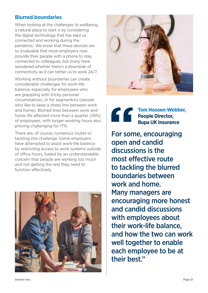### **Blurred boundaries**

When looking at the challenges to wellbeing, a natural place to start is by considering the digital technology that has kept us connected and working during the pandemic. We know that these devices are so invaluable that most employers now provide their people with a phone to stay connected to colleagues, but many have wondered whether there's a downside of connectivity as it can tether us to work 24/7.

Working without boundaries can create considerable challenges for work-life balance, especially for employees who are grappling with tricky personal circumstances, or for segmentors (people who like to keep a sharp line between work and home). Blurred lines between work and home life affected more than a quarter (26%) of employees, with longer working hours also proving challenging for 17%.

There are, of course, numerous routes to tackling this challenge. Some employers have attempted to assist work-life balance by restricting access to work systems outside of office hours, fueled by an understandable concern that people are working too much and not getting the rest they need to function effectively.





**Tom Hoosen-Webber, People Director, Bupa UK Insurance Example 15 Tom Hoosen-Webber,<br>
People Director,<br>
Bupa UK Insurance<br>
For some encourading** 

For some, encouraging open and candid discussions is the most effective route to tackling the blurred boundaries between work and home. Many managers are encouraging more honest and candid discussions with employees about their work-life balance, and how the two can work well together to enable each employee to be at their best."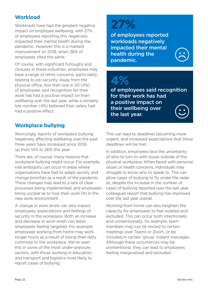### **Workload**

Workloads have had the greatest negative impact on employee wellbeing, with 27% of employees reporting this negatively impacted their mental health during the pandemic. However, this is a marked improvement on 2019, when 36% of employees cited the same.

Of course, with significant furloughs and closures in these industries, employees may have a range of other concerns, particularly relating to job security. Away from the physical office, less than one in  $20(4%)$ of employees said recognition for their work has had a positive impact on their wellbeing over the last year, while a similarly low number (4%) believed their salary had had a positive effect.

### **Workplace bullying**

Worryingly, reports of workplace bullying negatively affecting wellbeing over the past three years have increased since 2019, up from 14% to 26% this year.

There are, of course, many reasons that workplace bullying might occur. For example, role ambiguity can occur in areas where organisations have had to adapt quickly and change priorities as a result of the pandemic. These changes may lead to a lack of clear processes being implemented, and employees being unclear as to how their work fits in the new work environment.

A change in work levels can also impact employees' expectations and feelings of security in the workplace. Both an increase and decrease in work levels can leave employees feeling targeted. For example, employees working from home may work longer hours as a result of losing their daily commute to the workplace. We've seen this in some of the most under-pressure sectors, with those working in education, and transport and logistics most likely to report cases of bullying.

### **27%**

of employees reported workloads negatively impacted their mental health during the pandemic.

**4%** 

of employees said recognition for their work has had a positive impact on their wellbeing over the last year.

This can lead to deadlines becoming more urgent, and increased expectations that these deadlines will be met.

In addition, employees face the uncertainty of who to turn to with issues outside of the physical workplace. When faced with personal issues or health concerns, individuals may struggle to know who to speak to. This can allow cases of bullying to fly under the radar as, despite the increase in the number of cases of bullying reported over the last year, colleagues report that bullying has improved over the last year overall.

Working from home can also heighten the capacity for employees to feel isolated and excluded. This can occur both intentionally and unintentionally; for example, team members may not be invited to certain meetings over Teams or Zoom, or be included in certain 'group' instant messages. Although these occurrences may be unintentional, they can lead to employees feeling marginalised and excluded.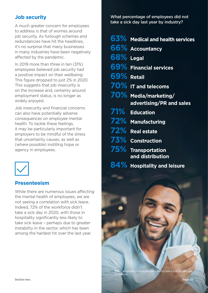### **Job security**

A much greater concern for employees to address is that of worries around job security. As furlough schemes and redundancies have hit the headlines, it's no surprise that many businesses in many industries have been negatively affected by the pandemic.

In 2019 more than three in ten (31%) employees believed job security had a positive impact on their wellbeing: This figure dropped to just 2% in 2020. This suggests that job insecurity is on the increase and, certainty around employment status, is no longer as widely enjoyed.

Job insecurity and financial concerns can also have potentially adverse consequences on employee mental health. To tackle these feelings, it may be particularly important for employers to be mindful of the stress that uncertainty causes, as well as (where possible) instilling hope or agency in employees.



### **Presenteeism**

While there are numerous issues affecting the mental health of employees, we are not seeing a correlation with sick leave. Indeed, 72% of the workforce didn't take a sick day in 2020, with those in hospitality significantly less likely to take sick leave – perhaps due to greater instability in the sector, which has been among the hardest hit over the last year.

What percentage of employees did not take a sick day last year by industry?

|             | 63% Medical and health services           |
|-------------|-------------------------------------------|
|             | 66% Accountancy                           |
| $68%$ Legal |                                           |
|             | 69% Financial services                    |
| 69% Retail  |                                           |
|             | 70% IT and telecoms                       |
|             | 70% Media/marketing/                      |
|             | advertising/PR and sales                  |
|             | 71% Education                             |
|             | 72% Manufacturing                         |
|             | 72% Real estate                           |
|             | 73% Construction                          |
| 75%         | <b>Transportation</b><br>and distribution |
|             | 84% Hospitality and leisure               |

FIG: The number of employees who did not take a sick day last y industry.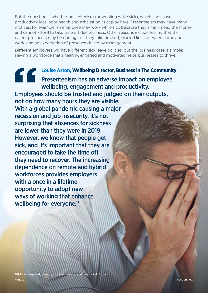But the question is whether presenteeism (or working while sick), which can cause productivity loss, poor health and exhaustion, is at play here. Presenteeism may have many motives; for example, an employee may work while sick because they simply need the money, and cannot afford to take time off due to illness. Other reasons include feeling that their career prospects may be damaged if they take time off, blurred lines between home and work, and an expectation of presence driven by management.

Different employers will have different sick leave policies, but the business case is simple: Having a workforce that's healthy, engaged and motivated helps businesses to thrive.

**|| ||**<br>Empl **Louise Aston, Wellbeing Director, Business in The Community**  Presenteeism has an adverse impact on employee wellbeing, engagement and productivity. Employees should be trusted and judged on their outputs, not on how many hours they are visible. With a global pandemic causing a major recession and job insecurity, it's not surprising that absences for sickness are lower than they were in 2019. However, we know that people get sick, and it's important that they are encouraged to take the time of they need to recover. The increasing dependence on remote and hybrid workforces provides employers with a once in a lifetime opportunity to adopt new ways of working that enhance wellbeing for everyone."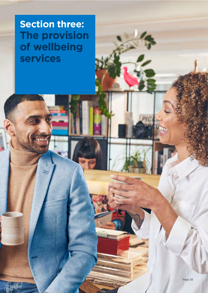### **Section three: of wellbeing The provision services**

PIC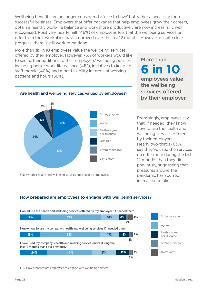Wellbeing benefits are no longer considered a 'nice to have' but rather a necessity for a successful business. Employers that offer packages that help employees grow their careers, obtain a healthy work-life balance and work more productively are now increasingly well recognised. Positively, nearly half (46%) of employees feel that the wellbeing services on offer from their workplace have improved over the last 12 months. However, despite clear progress, there is still work to be done.

More than six in 10 employees value the wellbeing services offered by their employer. However, 73% of workers would like to see further additions to their employers' wellbeing policies including better work-life balance (41%), initiatives to keep up staff morale (40%) and more fexibility in terms of working patterns and hours (38%).



### **6 in 10**  employees value the wellbeing services offered

by their employer.

More than

Promisingly, employees say that, if needed, they know how to use the health and wellbeing services offered by their employers. Nearly two-thirds (63%) say they've used the services on offer more during the last 12 months than they did previously, suggesting that pressures around the pandemic has spurred increased uptake.



Section three.

Page 26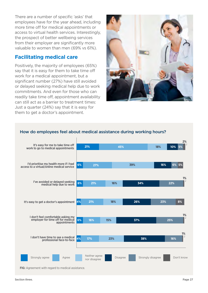There are a number of specific 'asks' that employees have for the year ahead, including more time off for medical appointments or access to virtual health services. Interestingly, the prospect of better wellbeing services from their employer are significantly more valuable to women than men (69% vs 61%).

### **Facilitating medical care**

Positively, the majority of employees (65%) say that it is easy for them to take time off work for a medical appointment, but a significant number (27%) have still avoided or delayed seeking medical help due to work commitments. And even for those who can readily take time off, appointment availability can still act as a barrier to treatment times: Just a quarter (24%) say that it is easy for them to get a doctor's appointment.



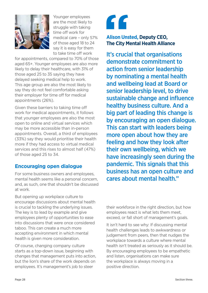

Younger employees are the most likely to struggle with taking time off work for medical care – only 57% of those aged 18 to 24 say it is easy for them to take time off work

for appointments, compared to 70% of those aged 65+. Younger employees are also more likely to delay their healthcare, with 31% of those aged 25 to 35 saying they have delayed seeking medical help to work. This age group are also the most likely to say they do not feel comfortable asking their employer for time off for medical appointments (26%).

Given these barriers to taking time off work for medical appointments, it follows that younger employees are also the most open to online and virtual services which may be more accessible than in-person appointments. Overall, a third of employees (33%) say they would prioritise their health more if they had access to virtual medical services and this rises to almost half (47%) of those aged 25 to 34.

### **Encouraging open dialogue**

For some business owners and employees, mental health seems like a personal concern, and, as such, one that shouldn't be discussed at work.

But opening up workplace culture to encourage discussions about mental health is crucial to tackling the underlying issues. The key is to lead by example and give employees plenty of opportunities to ease into discussions that were once considered taboo. This can create a much more accepting environment in which mental health is given more consideration.

Of course, changing company culture starts as a top-down issue, beginning with changes that management puts into action, but the lion's share of the work depends on employees. It's management's job to steer



### **Alison Unsted, Deputy CEO, The City Mental Health Alliance**

It's crucial that organisations demonstrate commitment to action from senior leadership by nominating a mental health and wellbeing lead at Board or senior leadership level, to drive sustainable change and infuence healthy business culture. And a big part of leading this change is by encouraging an open dialogue. This can start with leaders being more open about how they are feeling and how they look after their own wellbeing, which we have increasingly seen during the pandemic. This signals that this business has an open culture and cares about mental health."

their workforce in the right direction, but how employees react is what lets them meet, exceed, or fall short of management's goals.

It isn't hard to see why: If discussing mental health challenges leads to awkwardness or judgement from peers, then that nudges the workplace towards a culture where mental health isn't treated as seriously as it should be. By encouraging employees to be empathetic and listen, organisations can make sure the workplace is always moving in a positive direction.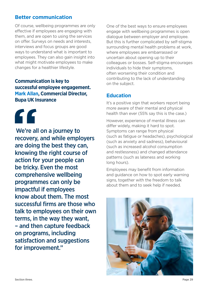### **Better communication**

Of course, wellbeing programmes are only effective if employees are engaging with them, and are open to using the services on offer. Surveys on needs and interests, interviews and focus groups are good ways to understand what is important to employees. They can also gain insight into what might motivate employees to make changes for a healthier lifestyle.

### **Communication is key to successful employee engagement. Mark Allan, Commercial Director, Bupa UK Insurance**

 $\epsilon$ 

We're all on a journey to recovery, and while employers are doing the best they can, knowing the right course of action for your people can be tricky. Even the most comprehensive wellbeing programmes can only be impactful if employees know about them. The most successful firms are those who talk to employees on their own terms, in the way they want, – and then capture feedback on programs, including satisfaction and suggestions for improvement."

One of the best ways to ensure employees engage with wellbeing programmes is open dialogue between employer and employee. But this is further complicated by self-stigma surrounding mental health problems at work, where employees are embarrassed or uncertain about opening up to their colleagues or bosses. Self-stigma encourages individuals to hide their symptoms, often worsening their condition and contributing to the lack of understanding on the subject.

### **Education**

It's a positive sign that workers report being more aware of their mental and physical health than ever (55% say this is the case.)

However, experience of mental illness can differ widely, making it hard to spot. Symptoms can range from physical (such as fatigue or headaches), psychological (such as anxiety and sadness), behavioural (such as increased alcohol consumption and restlessness) and changed attendance patterns (such as lateness and working long hours).

Employees may benefit from information and guidance on how to spot early warning signs, together with the freedom to talk about them and to seek help if needed.

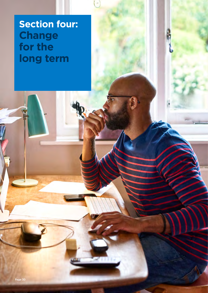### **Section four: Change for the long term**

m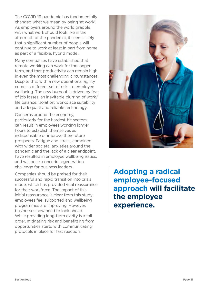The COVID-19 pandemic has fundamentally changed what we mean by being 'at work'. As employers around the world grapple with what work should look like in the aftermath of the pandemic, it seems likely that a significant number of people will continue to work at least in part from home as part of a flexible, hybrid model.

Many companies have established that remote working can work for the longer term, and that productivity can remain high in even the most challenging circumstances. Despite this, with a new operational agility comes a different set of risks to employee wellbeing. The new burnout is driven by fear of job losses; an inevitable blurring of work/ life balance; isolation; workplace suitability and adequate and reliable technology.

Concerns around the economy, particularly for the hardest-hit sectors, can result in employees working longer hours to establish themselves as indispensable or improve their future prospects. Fatigue and stress, combined with wider societal anxieties around the pandemic and the lack of a clear endpoint, have resulted in employee wellbeing issues, and will pose a once-in a-generation challenge for business leaders.

Companies should be praised for their successful and rapid transition into crisis mode, which has provided vital reassurance for their workforce. The impact of this initial reassurance is clear from this study: employees feel supported and wellbeing programmes are improving. However, businesses now need to look ahead. While providing long-term clarity is a tall order, mitigating risk and benefitting from opportunities starts with communicating protocols in place for fast reaction.



**Adopting a radical employee-focused approach will facilitate the employee experience.**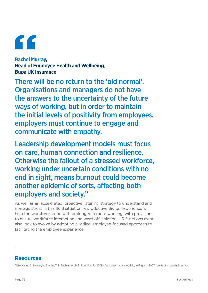# "

**Rachel Murray, Head of Employee Health and Wellbeing, Bupa UK Insurance** 

There will be no return to the 'old normal'. Organisations and managers do not have the answers to the uncertainty of the future ways of working, but in order to maintain the initial levels of positivity from employees, employers must continue to engage and communicate with empathy.

Leadership development models must focus on care, human connection and resilience. Otherwise the fallout of a stressed workforce, working under uncertain conditions with no end in sight, means burnout could become another epidemic of sorts, affecting both employers and society."

As well as an accelerated, proactive listening strategy to understand and manage stress in this fluid situation, a productive digital experience will help the workforce cope with prolonged remote working, with provisions to ensure workforce interaction and ward off isolation. HR functions must also look to evolve by adopting a radical employee-focused approach to facilitating the employee experience.

### **Resources**

[1] McManus, S., Meltzer, H., Brugha, T. S., Bebbington, P. E., & Jenkins, R. (2009). Adult psychiatric morbidity in England, 2007: results of a household survey.